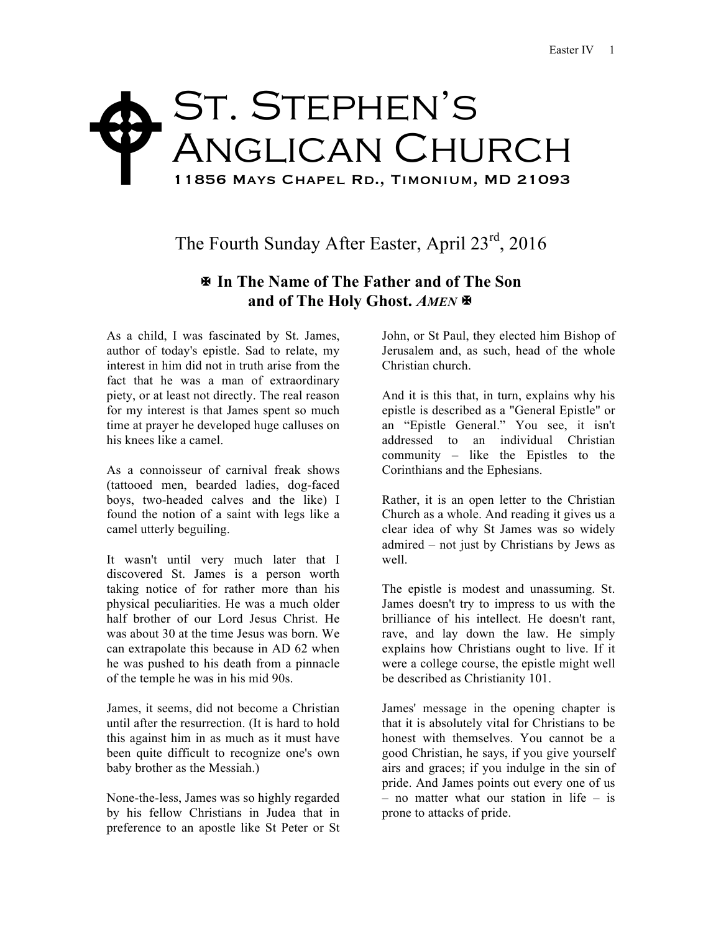## St. Stephen's ANGLICAN CHURCH 11856 Mays Chapel Rd., Timonium, MD 21093  $\blacklozenge$

The Fourth Sunday After Easter, April 23<sup>rd</sup>, 2016

## X **In The Name of The Father and of The Son and of The Holy Ghost.** *AMEN* X

As a child, I was fascinated by St. James, author of today's epistle. Sad to relate, my interest in him did not in truth arise from the fact that he was a man of extraordinary piety, or at least not directly. The real reason for my interest is that James spent so much time at prayer he developed huge calluses on his knees like a camel.

As a connoisseur of carnival freak shows (tattooed men, bearded ladies, dog-faced boys, two-headed calves and the like) I found the notion of a saint with legs like a camel utterly beguiling.

It wasn't until very much later that I discovered St. James is a person worth taking notice of for rather more than his physical peculiarities. He was a much older half brother of our Lord Jesus Christ. He was about 30 at the time Jesus was born. We can extrapolate this because in AD 62 when he was pushed to his death from a pinnacle of the temple he was in his mid 90s.

James, it seems, did not become a Christian until after the resurrection. (It is hard to hold this against him in as much as it must have been quite difficult to recognize one's own baby brother as the Messiah.)

None-the-less, James was so highly regarded by his fellow Christians in Judea that in preference to an apostle like St Peter or St John, or St Paul, they elected him Bishop of Jerusalem and, as such, head of the whole Christian church.

And it is this that, in turn, explains why his epistle is described as a "General Epistle" or an "Epistle General." You see, it isn't addressed to an individual Christian community – like the Epistles to the Corinthians and the Ephesians.

Rather, it is an open letter to the Christian Church as a whole. And reading it gives us a clear idea of why St James was so widely admired – not just by Christians by Jews as well.

The epistle is modest and unassuming. St. James doesn't try to impress to us with the brilliance of his intellect. He doesn't rant, rave, and lay down the law. He simply explains how Christians ought to live. If it were a college course, the epistle might well be described as Christianity 101.

James' message in the opening chapter is that it is absolutely vital for Christians to be honest with themselves. You cannot be a good Christian, he says, if you give yourself airs and graces; if you indulge in the sin of pride. And James points out every one of us – no matter what our station in life – is prone to attacks of pride.